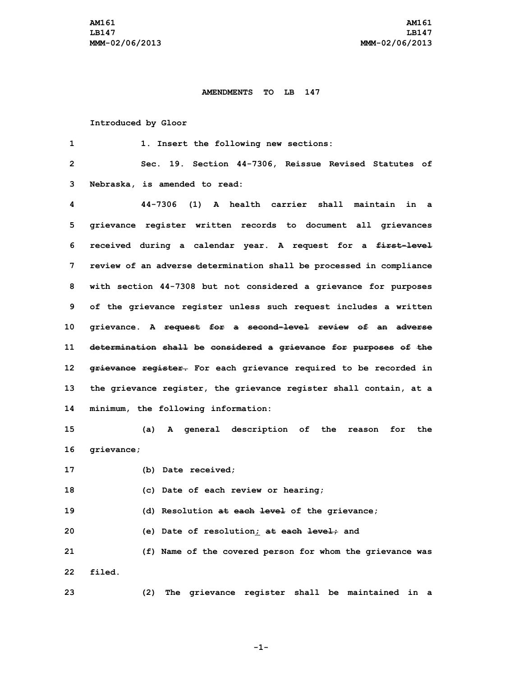## **AMENDMENTS TO LB 147**

## **Introduced by Gloor**

 **1. Insert the following new sections: Sec. 19. Section 44-7306, Reissue Revised Statutes of Nebraska, is amended to read: 44-7306 (1) A health carrier shall maintain in <sup>a</sup> grievance register written records to document all grievances received during <sup>a</sup> calendar year. <sup>A</sup> request for <sup>a</sup> first-level review of an adverse determination shall be processed in compliance with section 44-7308 but not considered <sup>a</sup> grievance for purposes of the grievance register unless such request includes <sup>a</sup> written grievance. <sup>A</sup> request for <sup>a</sup> second-level review of an adverse determination shall be considered <sup>a</sup> grievance for purposes of the grievance register. For each grievance required to be recorded in the grievance register, the grievance register shall contain, at <sup>a</sup> minimum, the following information: (a) <sup>A</sup> general description of the reason for the grievance; (b) Date received; (c) Date of each review or hearing; (d) Resolution at each level of the grievance; (e) Date of resolution; at each level; and (f) Name of the covered person for whom the grievance was 22 filed. (2) The grievance register shall be maintained in <sup>a</sup>**

**-1-**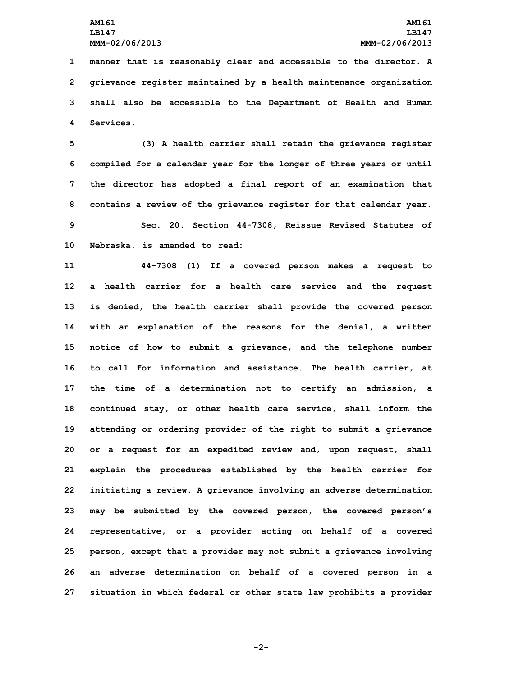**manner that is reasonably clear and accessible to the director. <sup>A</sup> grievance register maintained by <sup>a</sup> health maintenance organization shall also be accessible to the Department of Health and Human Services.**

 **(3) <sup>A</sup> health carrier shall retain the grievance register compiled for <sup>a</sup> calendar year for the longer of three years or until the director has adopted <sup>a</sup> final report of an examination that contains <sup>a</sup> review of the grievance register for that calendar year. Sec. 20. Section 44-7308, Reissue Revised Statutes of Nebraska, is amended to read:**

 **44-7308 (1) If <sup>a</sup> covered person makes <sup>a</sup> request to <sup>a</sup> health carrier for <sup>a</sup> health care service and the request is denied, the health carrier shall provide the covered person with an explanation of the reasons for the denial, <sup>a</sup> written notice of how to submit <sup>a</sup> grievance, and the telephone number to call for information and assistance. The health carrier, at the time of <sup>a</sup> determination not to certify an admission, <sup>a</sup> continued stay, or other health care service, shall inform the attending or ordering provider of the right to submit <sup>a</sup> grievance or <sup>a</sup> request for an expedited review and, upon request, shall explain the procedures established by the health carrier for initiating <sup>a</sup> review. <sup>A</sup> grievance involving an adverse determination may be submitted by the covered person, the covered person's representative, or <sup>a</sup> provider acting on behalf of <sup>a</sup> covered person, except that <sup>a</sup> provider may not submit <sup>a</sup> grievance involving an adverse determination on behalf of <sup>a</sup> covered person in <sup>a</sup> situation in which federal or other state law prohibits <sup>a</sup> provider**

**-2-**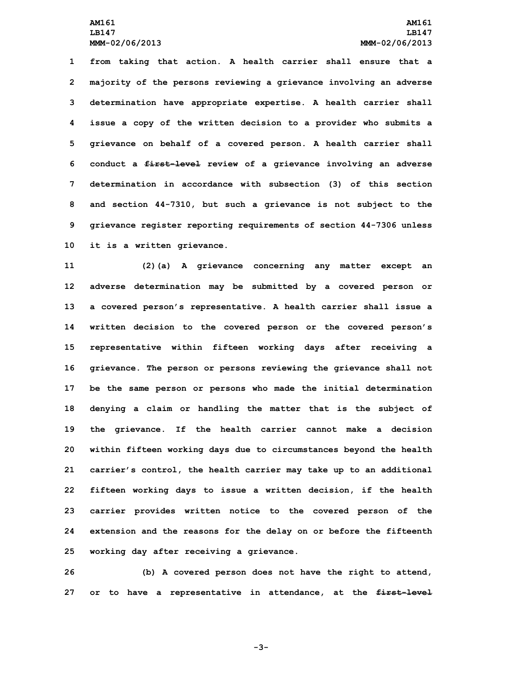**from taking that action. <sup>A</sup> health carrier shall ensure that <sup>a</sup> majority of the persons reviewing <sup>a</sup> grievance involving an adverse determination have appropriate expertise. <sup>A</sup> health carrier shall issue <sup>a</sup> copy of the written decision to <sup>a</sup> provider who submits <sup>a</sup> grievance on behalf of <sup>a</sup> covered person. A health carrier shall conduct <sup>a</sup> first-level review of <sup>a</sup> grievance involving an adverse determination in accordance with subsection (3) of this section and section 44-7310, but such <sup>a</sup> grievance is not subject to the grievance register reporting requirements of section 44-7306 unless it is <sup>a</sup> written grievance.**

 **(2)(a) <sup>A</sup> grievance concerning any matter except an adverse determination may be submitted by <sup>a</sup> covered person or <sup>a</sup> covered person's representative. <sup>A</sup> health carrier shall issue <sup>a</sup> written decision to the covered person or the covered person's representative within fifteen working days after receiving <sup>a</sup> grievance. The person or persons reviewing the grievance shall not be the same person or persons who made the initial determination denying <sup>a</sup> claim or handling the matter that is the subject of the grievance. If the health carrier cannot make <sup>a</sup> decision within fifteen working days due to circumstances beyond the health carrier's control, the health carrier may take up to an additional fifteen working days to issue <sup>a</sup> written decision, if the health carrier provides written notice to the covered person of the extension and the reasons for the delay on or before the fifteenth working day after receiving <sup>a</sup> grievance.**

**26 (b) <sup>A</sup> covered person does not have the right to attend, 27 or to have <sup>a</sup> representative in attendance, at the first-level**

**-3-**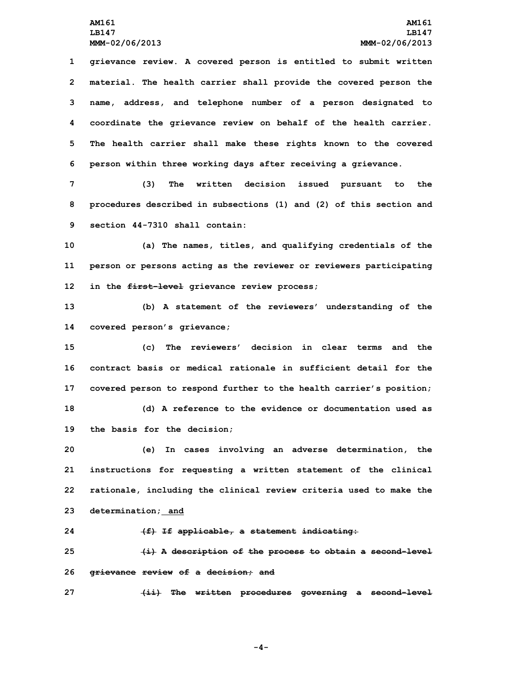**grievance review. <sup>A</sup> covered person is entitled to submit written material. The health carrier shall provide the covered person the name, address, and telephone number of <sup>a</sup> person designated to coordinate the grievance review on behalf of the health carrier. The health carrier shall make these rights known to the covered person within three working days after receiving <sup>a</sup> grievance.**

**7 (3) The written decision issued pursuant to the 8 procedures described in subsections (1) and (2) of this section and 9 section 44-7310 shall contain:**

**10 (a) The names, titles, and qualifying credentials of the 11 person or persons acting as the reviewer or reviewers participating 12 in the first-level grievance review process;**

**13 (b) <sup>A</sup> statement of the reviewers' understanding of the 14 covered person's grievance;**

 **(c) The reviewers' decision in clear terms and the contract basis or medical rationale in sufficient detail for the covered person to respond further to the health carrier's position; (d) A reference to the evidence or documentation used as the basis for the decision;**

 **(e) In cases involving an adverse determination, the instructions for requesting <sup>a</sup> written statement of the clinical rationale, including the clinical review criteria used to make the determination; and**

**24 (f) If applicable, <sup>a</sup> statement indicating:**

**25 (i) <sup>A</sup> description of the process to obtain <sup>a</sup> second-level 26 grievance review of <sup>a</sup> decision; and**

**27 (ii) The written procedures governing <sup>a</sup> second-level**

**-4-**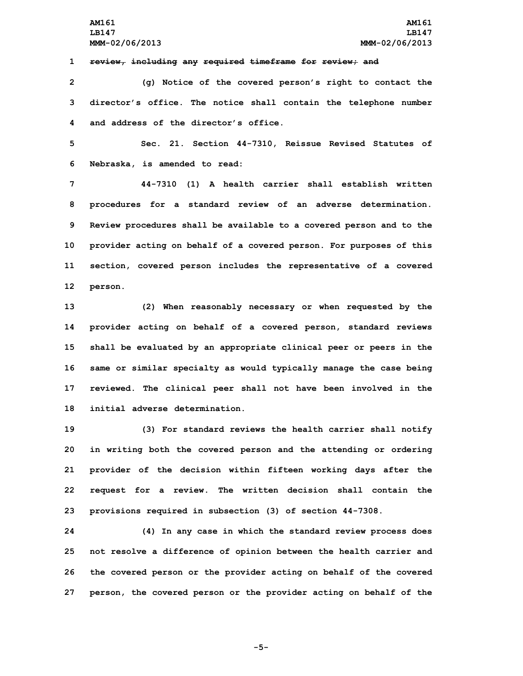**1 review, including any required timeframe for review; and**

**2 (g) Notice of the covered person's right to contact the 3 director's office. The notice shall contain the telephone number 4 and address of the director's office.**

**5 Sec. 21. Section 44-7310, Reissue Revised Statutes of 6 Nebraska, is amended to read:**

 **44-7310 (1) A health carrier shall establish written procedures for <sup>a</sup> standard review of an adverse determination. Review procedures shall be available to <sup>a</sup> covered person and to the provider acting on behalf of <sup>a</sup> covered person. For purposes of this section, covered person includes the representative of <sup>a</sup> covered 12 person.**

 **(2) When reasonably necessary or when requested by the provider acting on behalf of <sup>a</sup> covered person, standard reviews shall be evaluated by an appropriate clinical peer or peers in the same or similar specialty as would typically manage the case being reviewed. The clinical peer shall not have been involved in the initial adverse determination.**

 **(3) For standard reviews the health carrier shall notify in writing both the covered person and the attending or ordering provider of the decision within fifteen working days after the request for <sup>a</sup> review. The written decision shall contain the provisions required in subsection (3) of section 44-7308.**

 **(4) In any case in which the standard review process does not resolve <sup>a</sup> difference of opinion between the health carrier and the covered person or the provider acting on behalf of the covered person, the covered person or the provider acting on behalf of the**

**-5-**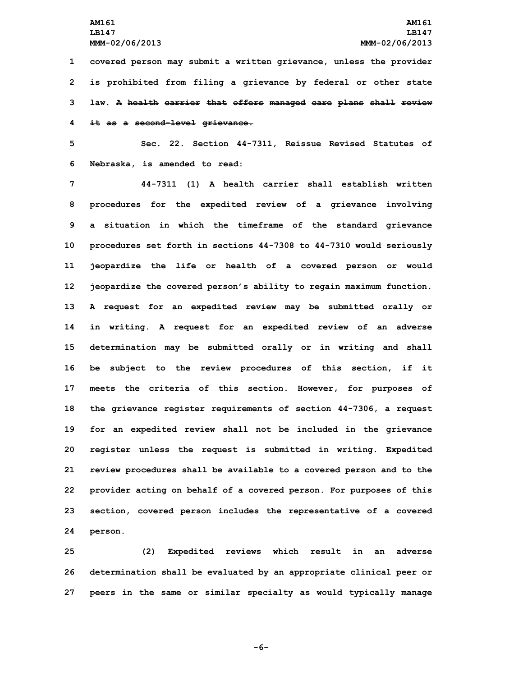**covered person may submit <sup>a</sup> written grievance, unless the provider is prohibited from filing <sup>a</sup> grievance by federal or other state law. <sup>A</sup> health carrier that offers managed care plans shall review it as <sup>a</sup> second-level grievance.**

**5 Sec. 22. Section 44-7311, Reissue Revised Statutes of 6 Nebraska, is amended to read:**

 **44-7311 (1) A health carrier shall establish written procedures for the expedited review of <sup>a</sup> grievance involving <sup>a</sup> situation in which the timeframe of the standard grievance procedures set forth in sections 44-7308 to 44-7310 would seriously jeopardize the life or health of <sup>a</sup> covered person or would jeopardize the covered person's ability to regain maximum function. <sup>A</sup> request for an expedited review may be submitted orally or in writing. <sup>A</sup> request for an expedited review of an adverse determination may be submitted orally or in writing and shall be subject to the review procedures of this section, if it meets the criteria of this section. However, for purposes of the grievance register requirements of section 44-7306, <sup>a</sup> request for an expedited review shall not be included in the grievance register unless the request is submitted in writing. Expedited review procedures shall be available to <sup>a</sup> covered person and to the provider acting on behalf of <sup>a</sup> covered person. For purposes of this section, covered person includes the representative of <sup>a</sup> covered 24 person.**

**25 (2) Expedited reviews which result in an adverse 26 determination shall be evaluated by an appropriate clinical peer or 27 peers in the same or similar specialty as would typically manage**

**-6-**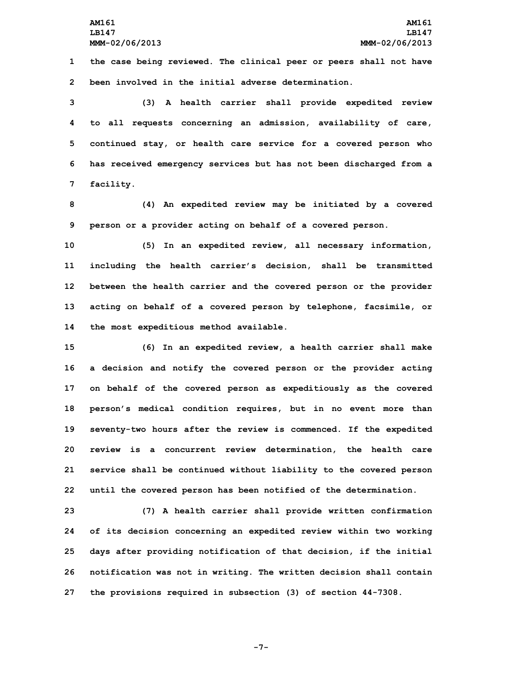**1 the case being reviewed. The clinical peer or peers shall not have 2 been involved in the initial adverse determination.**

 **(3) <sup>A</sup> health carrier shall provide expedited review to all requests concerning an admission, availability of care, continued stay, or health care service for <sup>a</sup> covered person who has received emergency services but has not been discharged from <sup>a</sup> facility.**

**8 (4) An expedited review may be initiated by <sup>a</sup> covered 9 person or <sup>a</sup> provider acting on behalf of <sup>a</sup> covered person.**

 **(5) In an expedited review, all necessary information, including the health carrier's decision, shall be transmitted between the health carrier and the covered person or the provider acting on behalf of <sup>a</sup> covered person by telephone, facsimile, or the most expeditious method available.**

 **(6) In an expedited review, <sup>a</sup> health carrier shall make <sup>a</sup> decision and notify the covered person or the provider acting on behalf of the covered person as expeditiously as the covered person's medical condition requires, but in no event more than seventy-two hours after the review is commenced. If the expedited review is <sup>a</sup> concurrent review determination, the health care service shall be continued without liability to the covered person until the covered person has been notified of the determination.**

 **(7) <sup>A</sup> health carrier shall provide written confirmation of its decision concerning an expedited review within two working days after providing notification of that decision, if the initial notification was not in writing. The written decision shall contain the provisions required in subsection (3) of section 44-7308.**

**-7-**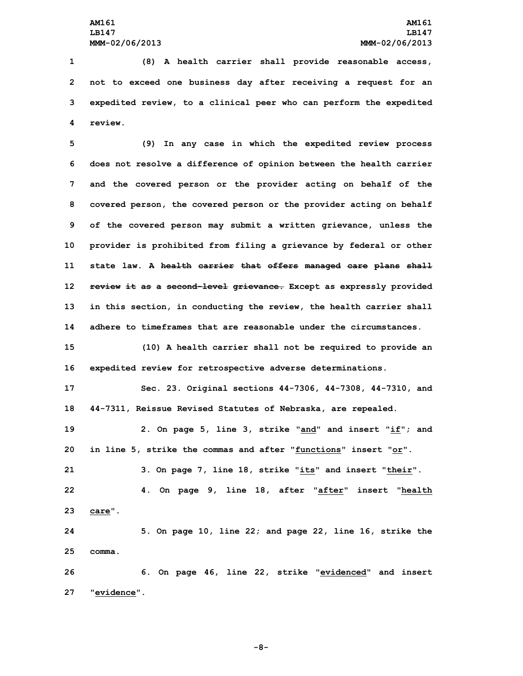**27 "evidence".**

 **(8) <sup>A</sup> health carrier shall provide reasonable access, not to exceed one business day after receiving <sup>a</sup> request for an expedited review, to <sup>a</sup> clinical peer who can perform the expedited 4 review.**

 **(9) In any case in which the expedited review process does not resolve <sup>a</sup> difference of opinion between the health carrier and the covered person or the provider acting on behalf of the covered person, the covered person or the provider acting on behalf of the covered person may submit <sup>a</sup> written grievance, unless the provider is prohibited from filing <sup>a</sup> grievance by federal or other state law. <sup>A</sup> health carrier that offers managed care plans shall review it as <sup>a</sup> second-level grievance. Except as expressly provided in this section, in conducting the review, the health carrier shall adhere to timeframes that are reasonable under the circumstances.**

**15 (10) <sup>A</sup> health carrier shall not be required to provide an 16 expedited review for retrospective adverse determinations.**

**17 Sec. 23. Original sections 44-7306, 44-7308, 44-7310, and 18 44-7311, Reissue Revised Statutes of Nebraska, are repealed.**

 **2. On page 5, line 3, strike "and" and insert "if"; and in line 5, strike the commas and after "functions" insert "or". 3. On page 7, line 18, strike "its" and insert "their". 4. On page 9, line 18, after "after" insert "health 23 care". 5. On page 10, line 22; and page 22, line 16, strike the 25 comma. 6. On page 46, line 22, strike "evidenced" and insert**

**-8-**